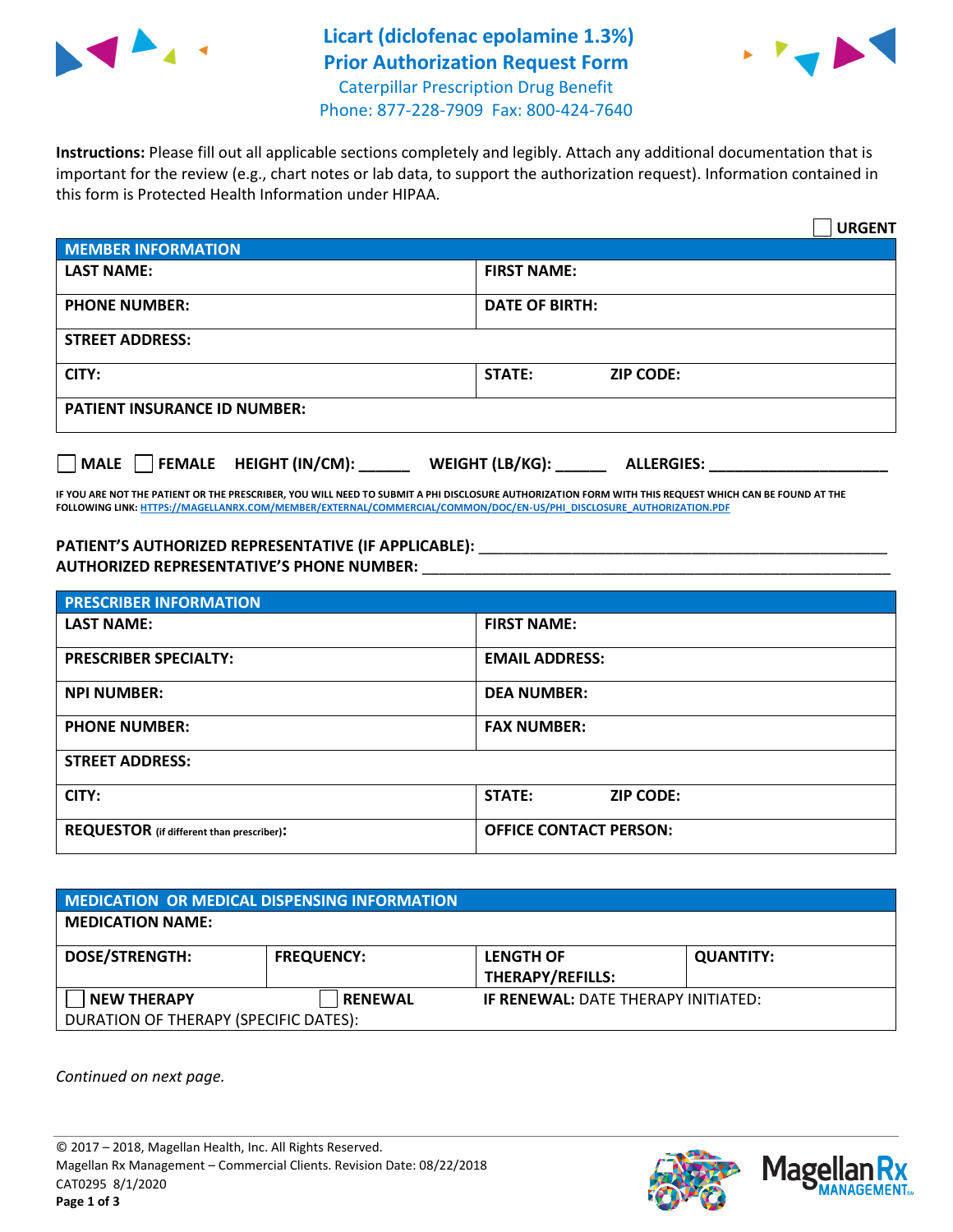

## **Licart (diclofenac epolamine 1.3%) Prior Authorization Request Form** Caterpillar Prescription Drug Benefit Phone: 877-228-7909 Fax: 800-424-7640



**Instructions:** Please fill out all applicable sections completely and legibly. Attach any additional documentation that is important for the review (e.g., chart notes or lab data, to support the authorization request). Information contained in this form is Protected Health Information under HIPAA.

|                                       | <b>URGENT</b>                        |  |  |  |
|---------------------------------------|--------------------------------------|--|--|--|
| <b>MEMBER INFORMATION</b>             |                                      |  |  |  |
| <b>LAST NAME:</b>                     | <b>FIRST NAME:</b>                   |  |  |  |
| <b>PHONE NUMBER:</b>                  | <b>DATE OF BIRTH:</b>                |  |  |  |
| <b>STREET ADDRESS:</b>                |                                      |  |  |  |
| CITY:                                 | STATE:<br><b>ZIP CODE:</b>           |  |  |  |
| <b>PATIENT INSURANCE ID NUMBER:</b>   |                                      |  |  |  |
| FEMALE HEIGHT (IN/CM):<br><b>MALE</b> | WEIGHT (LB/KG):<br><b>ALLERGIES:</b> |  |  |  |

**IF YOU ARE NOT THE PATIENT OR THE PRESCRIBER, YOU WILL NEED TO SUBMIT A PHI DISCLOSURE AUTHORIZATION FORM WITH THIS REQUEST WHICH CAN BE FOUND AT THE FOLLOWING LINK[: HTTPS://MAGELLANRX.COM/MEMBER/EXTERNAL/COMMERCIAL/COMMON/DOC/EN-US/PHI\\_DISCLOSURE\\_AUTHORIZATION.PDF](https://magellanrx.com/member/external/commercial/common/doc/en-us/PHI_Disclosure_Authorization.pdf)**

**PATIENT'S AUTHORIZED REPRESENTATIVE (IF APPLICABLE):** \_\_\_\_\_\_\_\_\_\_\_\_\_\_\_\_\_\_\_\_\_\_\_\_\_\_\_\_\_\_\_\_\_\_\_\_\_\_\_\_\_\_\_\_\_\_\_\_ **AUTHORIZED REPRESENTATIVE'S PHONE NUMBER:** \_\_\_\_\_\_\_\_\_\_\_\_\_\_\_\_\_\_\_\_\_\_\_\_\_\_\_\_\_\_\_\_\_\_\_\_\_\_\_\_\_\_\_\_\_\_\_\_\_\_\_\_\_\_\_

| <b>PRESCRIBER INFORMATION</b>             |                               |  |  |  |
|-------------------------------------------|-------------------------------|--|--|--|
| <b>LAST NAME:</b>                         | <b>FIRST NAME:</b>            |  |  |  |
| <b>PRESCRIBER SPECIALTY:</b>              | <b>EMAIL ADDRESS:</b>         |  |  |  |
| <b>NPI NUMBER:</b>                        | <b>DEA NUMBER:</b>            |  |  |  |
| <b>PHONE NUMBER:</b>                      | <b>FAX NUMBER:</b>            |  |  |  |
| <b>STREET ADDRESS:</b>                    |                               |  |  |  |
| CITY:                                     | STATE:<br><b>ZIP CODE:</b>    |  |  |  |
| REQUESTOR (if different than prescriber): | <b>OFFICE CONTACT PERSON:</b> |  |  |  |

| <b>MEDICATION OR MEDICAL DISPENSING INFORMATION</b> |                   |                                            |                  |  |  |
|-----------------------------------------------------|-------------------|--------------------------------------------|------------------|--|--|
| <b>MEDICATION NAME:</b>                             |                   |                                            |                  |  |  |
| <b>DOSE/STRENGTH:</b>                               | <b>FREQUENCY:</b> | <b>LENGTH OF</b>                           | <b>QUANTITY:</b> |  |  |
|                                                     |                   | <b>THERAPY/REFILLS:</b>                    |                  |  |  |
| <b>NEW THERAPY</b>                                  | <b>RENEWAL</b>    | <b>IF RENEWAL: DATE THERAPY INITIATED:</b> |                  |  |  |
| DURATION OF THERAPY (SPECIFIC DATES):               |                   |                                            |                  |  |  |

*Continued on next page.*

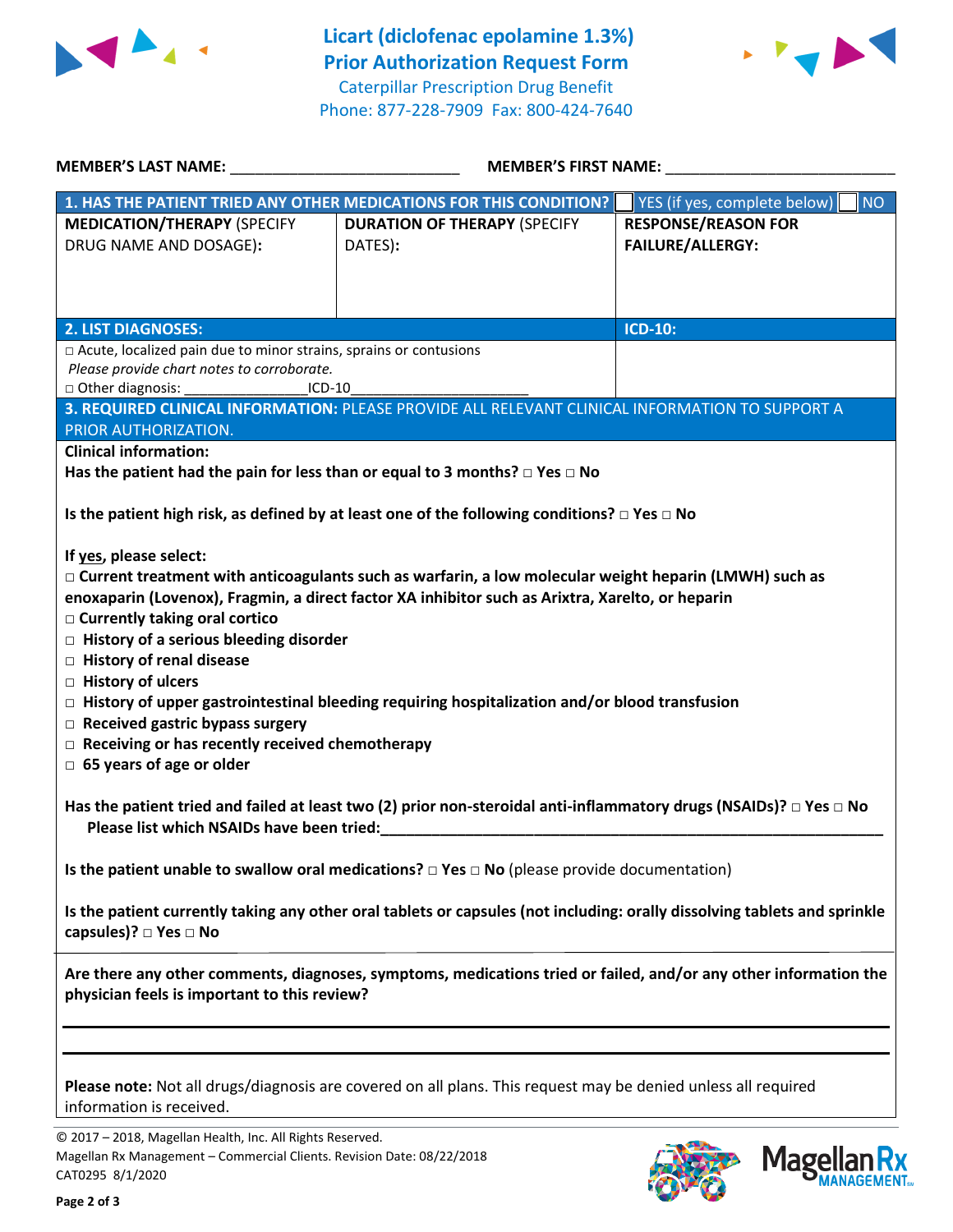



| <b>MEMBER'S LAST NAME:</b> NAME:                                                                                                                                 | <b>MEMBER'S FIRST NAME:</b>                                                                                  |                                           |  |  |
|------------------------------------------------------------------------------------------------------------------------------------------------------------------|--------------------------------------------------------------------------------------------------------------|-------------------------------------------|--|--|
|                                                                                                                                                                  | 1. HAS THE PATIENT TRIED ANY OTHER MEDICATIONS FOR THIS CONDITION?                                           | YES (if yes, complete below)<br><b>NO</b> |  |  |
| <b>MEDICATION/THERAPY (SPECIFY</b>                                                                                                                               | <b>DURATION OF THERAPY (SPECIFY</b>                                                                          | <b>RESPONSE/REASON FOR</b>                |  |  |
| DRUG NAME AND DOSAGE):                                                                                                                                           | DATES):                                                                                                      | <b>FAILURE/ALLERGY:</b>                   |  |  |
|                                                                                                                                                                  |                                                                                                              |                                           |  |  |
|                                                                                                                                                                  |                                                                                                              |                                           |  |  |
|                                                                                                                                                                  |                                                                                                              |                                           |  |  |
| <b>2. LIST DIAGNOSES:</b>                                                                                                                                        |                                                                                                              | <b>ICD-10:</b>                            |  |  |
| □ Acute, localized pain due to minor strains, sprains or contusions                                                                                              |                                                                                                              |                                           |  |  |
| Please provide chart notes to corroborate.<br>$ICD-10$                                                                                                           |                                                                                                              |                                           |  |  |
|                                                                                                                                                                  | 3. REQUIRED CLINICAL INFORMATION: PLEASE PROVIDE ALL RELEVANT CLINICAL INFORMATION TO SUPPORT A              |                                           |  |  |
| PRIOR AUTHORIZATION.                                                                                                                                             |                                                                                                              |                                           |  |  |
| <b>Clinical information:</b>                                                                                                                                     |                                                                                                              |                                           |  |  |
| Has the patient had the pain for less than or equal to 3 months? $\Box$ Yes $\Box$ No                                                                            |                                                                                                              |                                           |  |  |
|                                                                                                                                                                  |                                                                                                              |                                           |  |  |
|                                                                                                                                                                  | Is the patient high risk, as defined by at least one of the following conditions? $\Box$ Yes $\Box$ No       |                                           |  |  |
|                                                                                                                                                                  |                                                                                                              |                                           |  |  |
| If yes, please select:                                                                                                                                           |                                                                                                              |                                           |  |  |
|                                                                                                                                                                  | $\Box$ Current treatment with anticoagulants such as warfarin, a low molecular weight heparin (LMWH) such as |                                           |  |  |
|                                                                                                                                                                  | enoxaparin (Lovenox), Fragmin, a direct factor XA inhibitor such as Arixtra, Xarelto, or heparin             |                                           |  |  |
| $\Box$ Currently taking oral cortico                                                                                                                             |                                                                                                              |                                           |  |  |
| $\Box$ History of a serious bleeding disorder                                                                                                                    |                                                                                                              |                                           |  |  |
| □ History of renal disease                                                                                                                                       |                                                                                                              |                                           |  |  |
| $\Box$ History of ulcers                                                                                                                                         |                                                                                                              |                                           |  |  |
|                                                                                                                                                                  | $\Box$ History of upper gastrointestinal bleeding requiring hospitalization and/or blood transfusion         |                                           |  |  |
| $\Box$ Received gastric bypass surgery                                                                                                                           |                                                                                                              |                                           |  |  |
| $\Box$ Receiving or has recently received chemotherapy                                                                                                           |                                                                                                              |                                           |  |  |
| $\Box$ 65 years of age or older                                                                                                                                  |                                                                                                              |                                           |  |  |
| Has the patient tried and failed at least two (2) prior non-steroidal anti-inflammatory drugs (NSAIDs)? $\Box$ Yes $\Box$ No                                     |                                                                                                              |                                           |  |  |
| Please list which NSAIDs have been tried:<br><u> 1980 - John Stein, Amerikaansk politiker (</u>                                                                  |                                                                                                              |                                           |  |  |
|                                                                                                                                                                  |                                                                                                              |                                           |  |  |
| Is the patient unable to swallow oral medications? $\Box$ Yes $\Box$ No (please provide documentation)                                                           |                                                                                                              |                                           |  |  |
| Is the patient currently taking any other oral tablets or capsules (not including: orally dissolving tablets and sprinkle                                        |                                                                                                              |                                           |  |  |
| capsules)? □ Yes □ No                                                                                                                                            |                                                                                                              |                                           |  |  |
| Are there any other comments, diagnoses, symptoms, medications tried or failed, and/or any other information the<br>physician feels is important to this review? |                                                                                                              |                                           |  |  |
|                                                                                                                                                                  |                                                                                                              |                                           |  |  |
|                                                                                                                                                                  |                                                                                                              |                                           |  |  |
| Please note: Not all drugs/diagnosis are covered on all plans. This request may be denied unless all required<br>information is received.                        |                                                                                                              |                                           |  |  |
|                                                                                                                                                                  |                                                                                                              |                                           |  |  |

© 2017 – 2018, Magellan Health, Inc. All Rights Reserved. Magellan Rx Management – Commercial Clients. Revision Date: 08/22/2018 CAT0295 8/1/2020



**Magellar** 

**Ilan Rx<br>ANAGEMENT.**